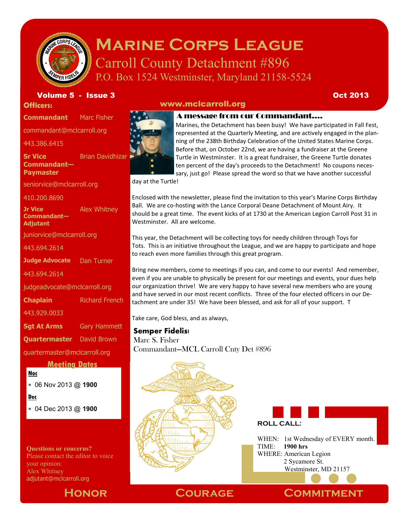

### **Marine Corps League** Carroll County Detachment #896

www.mclcarroll.org

P.O. Box 1524 Westminster, Maryland 21158-5524

Volume 5 - Issue 3 Oct 2013

**Officers:** 

**Commandant** Marc Fisher

commandant@mclcarroll.org

443.386.6415

**Sr Vice Commandant— Paymaster** Brian Davidhizar

seniorvice@mclcarroll.org

410.200.8690

**Jr Vice Commandant— Adjutant** Alex Whitney

juniorvice@mclcarroll.org

443.694.2614

**Judge Advocate** Dan Turner

443.694.2614

judgeadvocate@mclcarroll.org

**Chaplain** Richard French

443.929.0033

**Sgt At Arms** Gary Hammett

**Quartermaster** David Brown

quartermaster@mclcarroll.org

#### **Meeting Dates**

#### **Noc**

06 Nov 2013 @ **1900**

**Dec**

04 Dec 2013 @ **1900**

**Questions or concerns?** Please contact the editor to voice your opinion: Alex Whitney adjutant@mclcarroll.org



#### A message from our Commandant….

Marines, the Detachment has been busy! We have participated in Fall Fest, represented at the Quarterly Meeting, and are actively engaged in the planning of the 238th Birthday Celebration of the United States Marine Corps. Before that, on October 22nd, we are having a fundraiser at the Greene Turtle in Westminster. It is a great fundraiser, the Greene Turtle donates ten percent of the day's proceeds to the Detachment! No coupons necessary, just go! Please spread the word so that we have another successful

day at the Turtle!

Enclosed with the newsletter, please find the invitation to this year's Marine Corps Birthday Ball. We are co-hosting with the Lance Corporal Deane Detachment of Mount Airy. It should be a great time. The event kicks of at 1730 at the American Legion Carroll Post 31 in Westminster. All are welcome.

This year, the Detachment will be collecting toys for needy children through Toys for Tots. This is an initiative throughout the League, and we are happy to participate and hope to reach even more families through this great program.

Bring new members, come to meetings if you can, and come to our events! And remember, even if you are unable to physically be present for our meetings and events, your dues help our organization thrive! We are very happy to have several new members who are young and have served in our most recent conflicts. Three of the four elected officers in our Detachment are under 35! We have been blessed, and ask for all of your support. T

Take care, God bless, and as always,

#### **Semper Fidelis!**

Marc S. Fisher Commandant—MCL Carroll Cnty Det #896



**ROLL CALL:**

WHEN: 1st Wednesday of EVERY month. TIME: **1900 hrs** WHERE: American Legion 2 Sycamore St. Westminster, MD 21157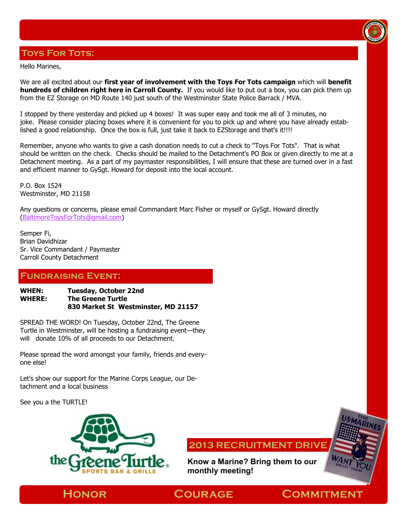### **Toys For Tots:**

Hello Marines,

We are all excited about our **first year of involvement with the Toys For Tots campaign** which will **benefit hundreds of children right here in Carroll County.** If you would like to put out a box, you can pick them up from the EZ Storage on MD Route 140 just south of the Westminster State Police Barrack / MVA.

I stopped by there yesterday and picked up 4 boxes! It was super easy and took me all of 3 minutes, no joke. Please consider placing boxes where it is convenient for you to pick up and where you have already established a good relationship. Once the box is full, just take it back to EZStorage and that's it!!!!

Remember, anyone who wants to give a cash donation needs to cut a check to "Toys For Tots". That is what should be written on the check. Checks should be mailed to the Detachment's PO Box or given directly to me at a Detachment meeting. As a part of my paymaster responsibilities, I will ensure that these are turned over in a fast and efficient manner to GySgt. Howard for deposit into the local account.

P.O. Box 1524 Westminster, MD 21158

Any questions or concerns, please email Commandant Marc Fisher or myself or GySgt. Howard directly [\(BaltimoreToysForTots@gmail.com\)](mailto:BaltimoreToysForTots@gmail.com)

Semper Fi, Brian Davidhizar Sr. Vice Commandant / Paymaster Carroll County Detachment

#### **Fundraising Event:**

**WHEN: Tuesday, October 22nd WHERE: The Greene Turtle 830 Market St Westminster, MD 21157** 

SPREAD THE WORD! On Tuesday, October 22nd, The Greene Turtle in Westminster, will be hosting a fundraising event—they will donate 10% of all proceeds to our Detachment.

Please spread the word amongst your family, friends and everyone else!

Let's show our support for the Marine Corps League, our Detachment and a local business

See you a the TURTLE!



**2013 RECRUITMENT DRIVE**

**Know a Marine? Bring them to our monthly meeting!**